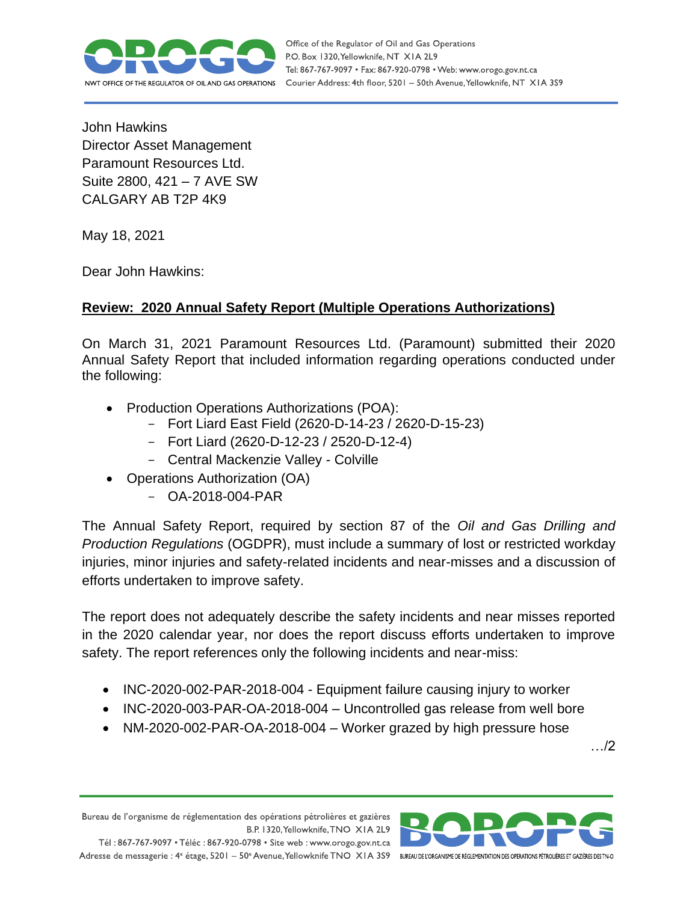

Office of the Regulator of Oil and Gas Operations P.O. Box 1320, Yellowknife, NT XIA 2L9 Tel: 867-767-9097 • Fax: 867-920-0798 • Web: www.orogo.gov.nt.ca Courier Address: 4th floor, 5201 - 50th Avenue, Yellowknife, NT XIA 3S9

John Hawkins Director Asset Management Paramount Resources Ltd. Suite 2800, 421 – 7 AVE SW CALGARY AB T2P 4K9

May 18, 2021

Dear John Hawkins:

## **Review: 2020 Annual Safety Report (Multiple Operations Authorizations)**

On March 31, 2021 Paramount Resources Ltd. (Paramount) submitted their 2020 Annual Safety Report that included information regarding operations conducted under the following:

- Production Operations Authorizations (POA):
	- Fort Liard East Field (2620-D-14-23 / 2620-D-15-23)
	- Fort Liard (2620-D-12-23 / 2520-D-12-4)
	- Central Mackenzie Valley Colville
- Operations Authorization (OA)
	- OA-2018-004-PAR

The Annual Safety Report, required by section 87 of the *Oil and Gas Drilling and Production Regulations* (OGDPR), must include a summary of lost or restricted workday injuries, minor injuries and safety-related incidents and near-misses and a discussion of efforts undertaken to improve safety.

The report does not adequately describe the safety incidents and near misses reported in the 2020 calendar year, nor does the report discuss efforts undertaken to improve safety. The report references only the following incidents and near-miss:

- INC-2020-002-PAR-2018-004 Equipment failure causing injury to worker
- INC-2020-003-PAR-OA-2018-004 Uncontrolled gas release from well bore
- NM-2020-002-PAR-OA-2018-004 Worker grazed by high pressure hose

…/2

Bureau de l'organisme de réglementation des opérations pétrolières et gazières B.P. 1320, Yellowknife, TNO XIA 2L9

Tél: 867-767-9097 • Téléc: 867-920-0798 • Site web: www.orogo.gov.nt.ca Adresse de messagerie : 4<sup>e</sup> étage, 5201 - 50° Avenue, Yellowknife TNO XIA 3S9 BUREAU DE L'ORGANISME DE RÉGLEMENTATION DES OPERATIONS PÉTROLIÈRES ET GAZIÈRES DESTNO

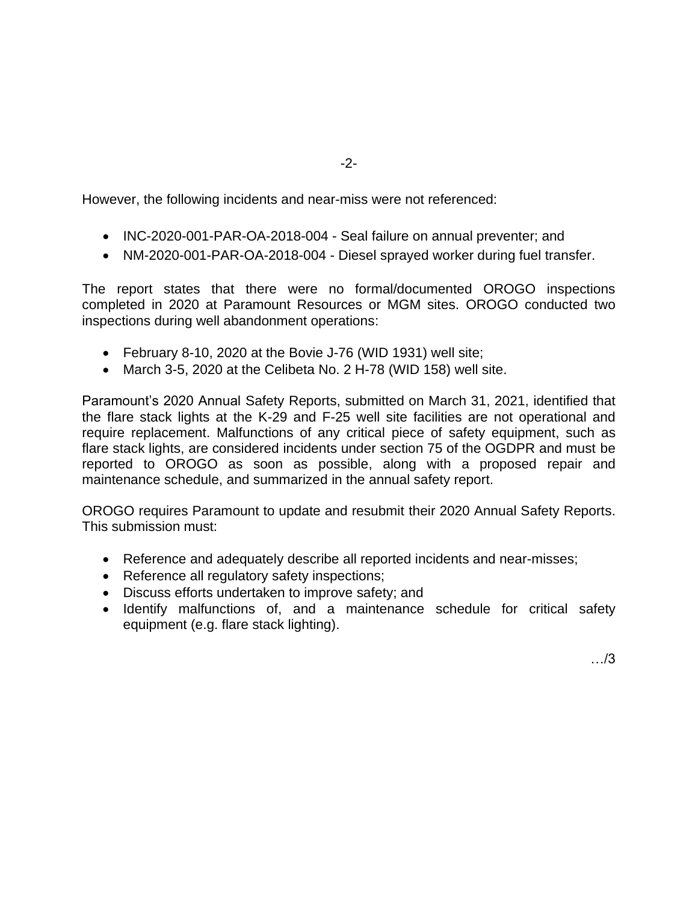However, the following incidents and near-miss were not referenced:

- INC-2020-001-PAR-OA-2018-004 Seal failure on annual preventer; and
- NM-2020-001-PAR-OA-2018-004 Diesel sprayed worker during fuel transfer.

The report states that there were no formal/documented OROGO inspections completed in 2020 at Paramount Resources or MGM sites. OROGO conducted two inspections during well abandonment operations:

- February 8-10, 2020 at the Bovie J-76 (WID 1931) well site;
- March 3-5, 2020 at the Celibeta No. 2 H-78 (WID 158) well site.

Paramount's 2020 Annual Safety Reports, submitted on March 31, 2021, identified that the flare stack lights at the K-29 and F-25 well site facilities are not operational and require replacement. Malfunctions of any critical piece of safety equipment, such as flare stack lights, are considered incidents under section 75 of the OGDPR and must be reported to OROGO as soon as possible, along with a proposed repair and maintenance schedule, and summarized in the annual safety report.

OROGO requires Paramount to update and resubmit their 2020 Annual Safety Reports. This submission must:

- Reference and adequately describe all reported incidents and near-misses;
- Reference all regulatory safety inspections;
- Discuss efforts undertaken to improve safety; and
- Identify malfunctions of, and a maintenance schedule for critical safety equipment (e.g. flare stack lighting).

…/3